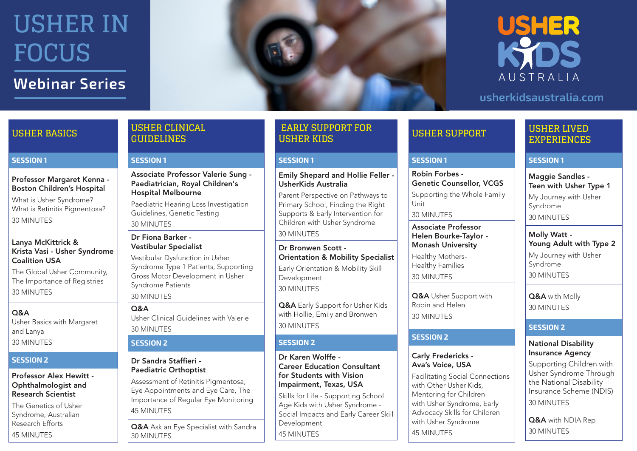## **Webinar Series**



## **USHER** KOS AUSTRALIA

### **usherkidsaustralia.com**

**USHER SUPPORT**

Genetic Counsellor, VCGS Supporting the Whole Family

**SESSION 1**

Unit

Robin Forbes -

30 MINUTES

Associate Professor Helen Bourke-Taylor - Monash University Healthy Mothers-Healthy Families 30 MINUTES

**Q&A** Usher Support with

Robin and Helen 30 MINUTES

Carly Fredericks - Ava's Voice, USA

with Other Usher Kids, Mentoring for Children with Usher Syndrome, Early Advocacy Skills for Children with Usher Syndrome

Facilitating Social Connections

**SESSION 2**

45 MINUTES

### **USHER LIVED EXPERIENCES**

### **SESSION 1**

Maggie Sandles -Teen with Usher Type 1 My Journey with Usher Syndrome 30 MINUTES

Molly Watt - Young Adult with Type 2 My Journey with Usher Syndrome 30 MINUTES

Q&A with Molly 30 MINUTES

### **SESSION 2**

### National Disability Insurance Agency

Supporting Children with Usher Syndrome Through the National Disability Insurance Scheme (NDIS) 30 MINUTES

Q&A with NDIA Rep 30 MINUTES

### **USHER CLINICAL GUIDELINES**

### **SESSION 1**

Associate Professor Valerie Sung - Paediatrician, Royal Children's Hospital Melbourne

Paediatric Hearing Loss Investigation Guidelines, Genetic Testing 30 MINUTES

### Dr Fiona Barker - Vestibular Specialist

Vestibular Dysfunction in Usher Syndrome Type 1 Patients, Supporting Gross Motor Development in Usher Syndrome Patients 30 MINUTES

### Q&A

Usher Clinical Guidelines with Valerie 30 MINUTES

### **SESSION 2**

### Dr Sandra Staffieri - Paediatric Orthoptist

Assessment of Retinitis Pigmentosa, Eye Appointments and Eye Care, The Importance of Regular Eye Monitoring 45 MINUTES

Q&A Ask an Eye Specialist with Sandra 30 MINUTES

### **EARLY SUPPORT FOR USHER KIDS**

### **SESSION 1**

### Emily Shepard and Hollie Feller - UsherKids Australia

Parent Perspective on Pathways to Primary School, Finding the Right Supports & Early Intervention for Children with Usher Syndrome 30 MINUTES

Dr Bronwen Scott - Orientation & Mobility Specialist Early Orientation & Mobility Skill Development 30 MINUTES

Q&A Early Support for Usher Kids with Hollie, Emily and Bronwen 30 MINUTES

### **SESSION 2**

### Dr Karen Wolffe - Career Education Consultant for Students with Vision Impairment, Texas, USA

Skills for Life - Supporting School Age Kids with Usher Syndrome - Social Impacts and Early Career Skill Development

### 45 MINUTES

### Lanya McKittrick & Krista Vasi - Usher Syndrome Coalition USA The Global Usher Community, The Importance of Registries

**USHER BASICS**

**SESSION 1**

30 MINUTES

## Q&A and Lanya

The Genetics of Usher Syndrome, Australian Research Efforts 45 MINUTES

# 30 MINUTES

## 30 MINUTES

## **SESSION 2**

## Usher Basics with Margaret

### Professor Alex Hewitt - Ophthalmologist and Research Scientist

Professor Margaret Kenna - Boston Children's Hospital What is Usher Syndrome? What is Retinitis Pigmentosa?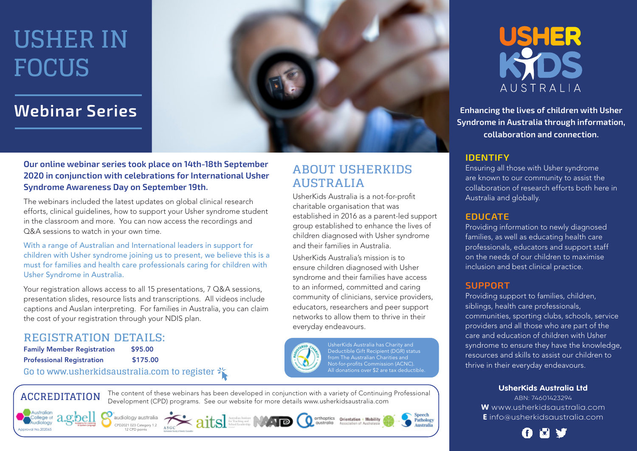## **Webinar Series**



**AUSTRALIA**

**ABOUT USHERKIDS** 

UsherKids Australia is a not-for-profit charitable organisation that was

and their families in Australia. UsherKids Australia's mission is to ensure children diagnosed with Usher syndrome and their families have access to an informed, committed and caring community of clinicians, service providers, educators, researchers and peer support networks to allow them to thrive in their

everyday endeavours.

established in 2016 as a parent-led support group established to enhance the lives of children diagnosed with Usher syndrome

**Our online webinar series took place on 14th-18th September 2020 in conjunction with celebrations for International Usher Syndrome Awareness Day on September 19th.** 

The webinars included the latest updates on global clinical research efforts, clinical guidelines, how to support your Usher syndrome student in the classroom and more. You can now access the recordings and Q&A sessions to watch in your own time.

With a range of Australian and International leaders in support for children with Usher syndrome joining us to present, we believe this is a must for families and health care professionals caring for children with Usher Syndrome in Australia.

Your registration allows access to all 15 presentations, 7 Q&A sessions, presentation slides, resource lists and transcriptions. All videos include captions and Auslan interpreting. For families in Australia, you can claim the cost of your registration through your NDIS plan.

### **REGISTRATION DETAILS:**

| <b>Family Member Registration</b> | \$95.00  |
|-----------------------------------|----------|
| <b>Professional Registration</b>  | \$175.00 |

### **Go to www.usherkidsaustralia.com to register**



to epello!

*<u>rdiology</u>* 

**ACCREDITATION** The content of these webinars has been developed in conjunction with a variety of Continuing Professional Development (CPD) programs. See our website for more details www.usherkidsaustralia.com









Speech

Pathology

Australia

UsherKids Australia has Charity and Deductible Gift Recipient (DGR) status from The Australian Charities and Not-for-profits Commission (ACNC). All donations over \$2 are tax deductible.



**Enhancing the lives of children with Usher Syndrome in Australia through information, collaboration and connection.**

### **IDENTIFY**

Ensuring all those with Usher syndrome are known to our community to assist the collaboration of research efforts both here in Australia and globally.

### **EDUCATE**

Providing information to newly diagnosed families, as well as educating health care professionals, educators and support staff on the needs of our children to maximise inclusion and best clinical practice.

### **SUPPORT**

Providing support to families, children, siblings, health care professionals, communities, sporting clubs, schools, service providers and all those who are part of the care and education of children with Usher syndrome to ensure they have the knowledge, resources and skills to assist our children to thrive in their everyday endeavours.

### **UsherKids Australia Ltd**

ABN: 74601423294 **W** www.usherkidsaustralia.com **E** info@usherkidsaustralia.com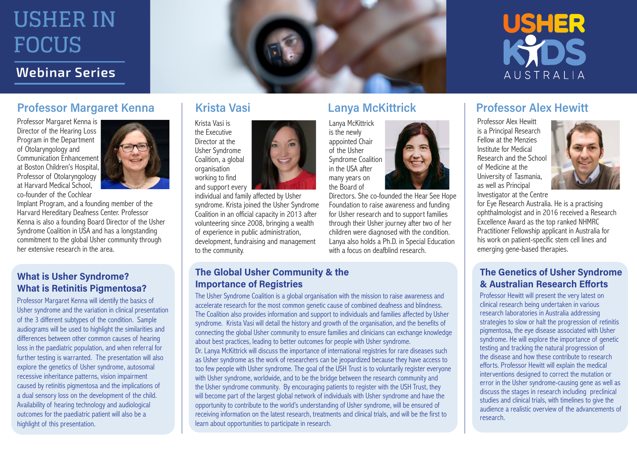### **Webinar Series**

### **Professor Margaret Kenna Krista Vasi Lanya McKittrick Professor Alex Hewitt**

Professor Margaret Kenna is Director of the Hearing Loss Program in the Department of Otolaryngology and Communication Enhancement at Boston Children's Hospital, Professor of Otolaryngology at Harvard Medical School, co-founder of the Cochlear

Implant Program, and a founding member of the Harvard Hereditary Deafness Center. Professor Kenna is also a founding Board Director of the Usher Syndrome Coalition in USA and has a longstanding commitment to the global Usher community through her extensive research in the area.

### **What is Usher Syndrome? What is Retinitis Pigmentosa?**

Professor Margaret Kenna will identify the basics of Usher syndrome and the variation in clinical presentation of the 3 different subtypes of the condition. Sample audiograms will be used to highlight the similarities and differences between other common causes of hearing loss in the paediatric population, and when referral for further testing is warranted. The presentation will also explore the genetics of Usher syndrome, autosomal recessive inheritance patterns, vision impairment caused by retinitis pigmentosa and the implications of a dual sensory loss on the development of the child. Availability of hearing technology and audiological outcomes for the paediatric patient will also be a highlight of this presentation.

Krista Vasi is the Executive Director at the Usher Syndrome Coalition, a global organisation working to find and support every

individual and family affected by Usher syndrome. Krista joined the Usher Syndrome Coalition in an official capacity in 2013 after volunteering since 2008, bringing a wealth of experience in public administration, development, fundraising and management to the community.

Lanya McKittrick is the newly appointed Chair of the Usher Syndrome Coalition in the USA after many years on the Board of

Directors. She co-founded the Hear See Hope Foundation to raise awareness and funding for Usher research and to support families through their Usher journey after two of her children were diagnosed with the condition. Lanya also holds a Ph.D. in Special Education with a focus on deafblind research.

### **The Global Usher Community & the Importance of Registries**

The Usher Syndrome Coalition is a global organisation with the mission to raise awareness and accelerate research for the most common genetic cause of combined deafness and blindness. The Coalition also provides information and support to individuals and families affected by Usher syndrome. Krista Vasi will detail the history and growth of the organisation, and the benefits of connecting the global Usher community to ensure families and clinicians can exchange knowledge about best practices, leading to better outcomes for people with Usher syndrome. Dr. Lanya McKittrick will discuss the importance of international registries for rare diseases such as Usher syndrome as the work of researchers can be jeopardized because they have access to too few people with Usher syndrome. The goal of the USH Trust is to voluntarily register everyone with Usher syndrome, worldwide, and to be the bridge between the research community and the Usher syndrome community. By encouraging patients to register with the USH Trust, they will become part of the largest global network of individuals with Usher syndrome and have the opportunity to contribute to the world's understanding of Usher syndrome, will be ensured of receiving information on the latest research, treatments and clinical trials, and will be the first to learn about opportunities to participate in research.

**USHER** 

AUSTRALIA

Professor Alex Hewitt is a Principal Research Fellow at the Menzies Institute for Medical Research and the School of Medicine at the University of Tasmania, as well as Principal Investigator at the Centre



for Eye Research Australia. He is a practising ophthalmologist and in 2016 received a Research Excellence Award as the top ranked NHMRC Practitioner Fellowship applicant in Australia for his work on patient-specific stem cell lines and emerging gene-based therapies.

### **The Genetics of Usher Syndrome & Australian Research Efforts**

Professor Hewitt will present the very latest on clinical research being undertaken in various research laboratories in Australia addressing strategies to slow or halt the progression of retinitis pigmentosa, the eye disease associated with Usher syndrome. He will explore the importance of genetic testing and tracking the natural progression of the disease and how these contribute to research efforts. Professor Hewitt will explain the medical interventions designed to correct the mutation or error in the Usher syndrome-causing gene as well as discuss the stages in research including preclinical studies and clinical trials, with timelines to give the audience a realistic overview of the advancements of research.

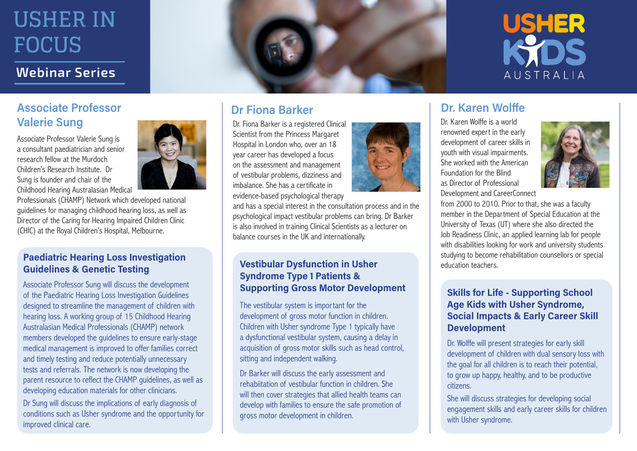## **Webinar Series**

## **Associate Professor Valerie Sung**

Associate Professor Valerie Sung is a consultant paediatrician and senior research fellow at the Murdoch Children's Research Institute. Dr Sung is founder and chair of the Childhood Hearing Australasian Medical

Professionals (CHAMP) Network which developed national guidelines for managing childhood hearing loss, as well as Director of the Caring for Hearing Impaired Children Clinic (CHIC) at the Royal Children's Hospital, Melbourne.

### **Paediatric Hearing Loss Investigation Guidelines & Genetic Testing**

Associate Professor Sung will discuss the development of the Paediatric Hearing Loss Investigation Guidelines designed to streamline the management of children with hearing loss. A working group of 15 Childhood Hearing Australasian Medical Professionals (CHAMP) network members developed the guidelines to ensure early-stage medical management is improved to offer families correct and timely testing and reduce potentially unnecessary tests and referrals. The network is now developing the parent resource to reflect the CHAMP guidelines, as well as developing education materials for other clinicians.

Dr Sung will discuss the implications of early diagnosis of conditions such as Usher syndrome and the opportunity for improved clinical care.





## **Dr Fiona Barker**

Dr. Fiona Barker is a registered Clinical Scientist from the Princess Margaret Hospital in London who, over an 18 year career has developed a focus on the assessment and management of vestibular problems, dizziness and imbalance. She has a certificate in evidence-based psychological therapy

and has a special interest in the consultation process and in the psychological impact vestibular problems can bring. Dr Barker is also involved in training Clinical Scientists as a lecturer on balance courses in the UK and internationally.

### **Vestibular Dysfunction in Usher Syndrome Type 1 Patients & Supporting Gross Motor Development**

The vestibular system is important for the development of gross motor function in children. Children with Usher syndrome Type 1 typically have a dysfunctional vestibular system, causing a delay in acquisition of gross motor skills such as head control, sitting and independent walking.

Dr Barker will discuss the early assessment and rehabiitation of vestibular function in children. She will then cover strategies that allied health teams can develop with families to ensure the safe promotion of gross motor development in children.



## **Dr. Karen Wolffe**

Dr. Karen Wolffe is a world renowned expert in the early development of career skills in youth with visual impairments. She worked with the American Foundation for the Blind as Director of Professional Development and CareerConnect



from 2000 to 2010. Prior to that, she was a faculty member in the Department of Special Education at the University of Texas (UT) where she also directed the Job Readiness Clinic, an applied learning lab for people with disabilities looking for work and university students studying to become rehabilitation counsellors or special education teachers.

### **Skills for Life - Supporting School Age Kids with Usher Syndrome, Social Impacts & Early Career Skill Development**

Dr. Wolffe will present strategies for early skill development of children with dual sensory loss with the goal for all children is to reach their potential, to grow up happy, healthy, and to be productive citizens.

She will discuss strategies for developing social engagement skills and early career skills for children with Usher syndrome.

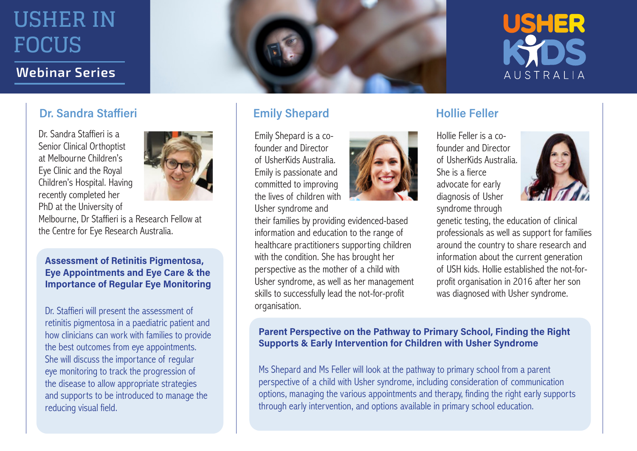### **Webinar Series**

### **Dr. Sandra Staffieri**

Dr. Sandra Staffieri is a Senior Clinical Orthoptist at Melbourne Children's Eye Clinic and the Royal Children's Hospital. Having recently completed her PhD at the University of



Melbourne, Dr Staffieri is a Research Fellow at the Centre for Eye Research Australia.

**Assessment of Retinitis Pigmentosa, Eye Appointments and Eye Care & the Importance of Regular Eye Monitoring**

Dr. Staffieri will present the assessment of retinitis pigmentosa in a paediatric patient and how clinicians can work with families to provide the best outcomes from eye appointments. She will discuss the importance of regular eye monitoring to track the progression of the disease to allow appropriate strategies and supports to be introduced to manage the reducing visual field.



## **Emily Shepard Hollie Feller**

Emily Shepard is a cofounder and Director of UsherKids Australia. Emily is passionate and committed to improving the lives of children with Usher syndrome and

their families by providing evidenced-based information and education to the range of healthcare practitioners supporting children with the condition. She has brought her perspective as the mother of a child with Usher syndrome, as well as her management skills to successfully lead the not-for-profit organisation.

Hollie Feller is a cofounder and Director of UsherKids Australia. She is a fierce advocate for early diagnosis of Usher syndrome through



USHER

**AUSTRAILA** 

genetic testing, the education of clinical professionals as well as support for families around the country to share research and information about the current generation of USH kids. Hollie established the not-forprofit organisation in 2016 after her son was diagnosed with Usher syndrome.

### **Parent Perspective on the Pathway to Primary School, Finding the Right Supports & Early Intervention for Children with Usher Syndrome**

Ms Shepard and Ms Feller will look at the pathway to primary school from a parent perspective of a child with Usher syndrome, including consideration of communication options, managing the various appointments and therapy, finding the right early supports through early intervention, and options available in primary school education.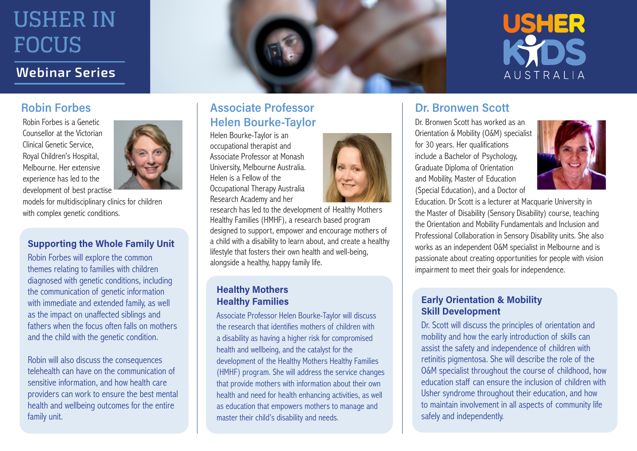### **Webinar Series**

### **Robin Forbes**

Robin Forbes is a Genetic Counsellor at the Victorian Clinical Genetic Service, Royal Children's Hospital, Melbourne. Her extensive experience has led to the development of best practise

models for multidisciplinary clinics for children with complex genetic conditions.

### **Supporting the Whole Family Unit**

Robin Forbes will explore the common themes relating to families with children diagnosed with genetic conditions, including the communication of genetic information with immediate and extended family, as well as the impact on unaffected siblings and fathers when the focus often falls on mothers and the child with the genetic condition.

Robin will also discuss the consequences telehealth can have on the communication of sensitive information, and how health care providers can work to ensure the best mental health and wellbeing outcomes for the entire family unit.



Helen Bourke-Taylor is an occupational therapist and Associate Professor at Monash University, Melbourne Australia. Helen is a Fellow of the Occupational Therapy Australia Research Academy and her

research has led to the development of Healthy Mothers Healthy Families (HMHF), a research based program designed to support, empower and encourage mothers of a child with a disability to learn about, and create a healthy lifestyle that fosters their own health and well-being, alongside a healthy, happy family life.

### **Healthy Mothers Healthy Families**

Associate Professor Helen Bourke-Taylor will discuss the research that identifies mothers of children with a disability as having a higher risk for compromised health and wellbeing, and the catalyst for the development of the Healthy Mothers Healthy Families (HMHF) program. She will address the service changes that provide mothers with information about their own health and need for health enhancing activities, as well as education that empowers mothers to manage and master their child's disability and needs.



### **Dr. Bronwen Scott**

Dr. Bronwen Scott has worked as an Orientation & Mobility (O&M) specialist for 30 years. Her qualifications include a Bachelor of Psychology, Graduate Diploma of Orientation and Mobility, Master of Education (Special Education), and a Doctor of



**USHER** 

AUSTRALIA

Education. Dr Scott is a lecturer at Macquarie University in the Master of Disability (Sensory Disability) course, teaching the Orientation and Mobility Fundamentals and Inclusion and Professional Collaboration in Sensory Disability units. She also works as an independent O&M specialist in Melbourne and is passionate about creating opportunities for people with vision impairment to meet their goals for independence.

### **Early Orientation & Mobility Skill Development**

Dr. Scott will discuss the principles of orientation and mobility and how the early introduction of skills can assist the safety and independence of children with retinitis pigmentosa. She will describe the role of the O&M specialist throughout the course of childhood, how education staff can ensure the inclusion of children with Usher syndrome throughout their education, and how to maintain involvement in all aspects of community life safely and independently.